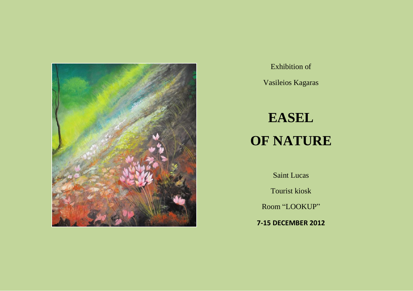

Exhibition of

Vasileios Kagaras

## **EASEL OF NATURE**

Saint Lucas

Tourist kiosk

Room "LOOKUP"

**7-15 DECEMBER 2012**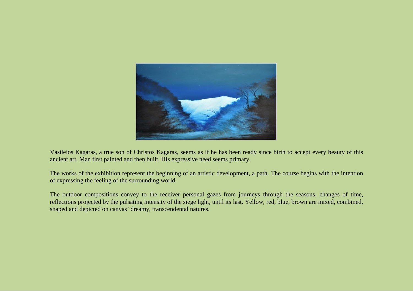

Vasileios Kagaras, a true son of Christos Kagaras, seems as if he has been ready since birth to accept every beauty of this ancient art. Man first painted and then built. His expressive need seems primary.

The works of the exhibition represent the beginning of an artistic development, a path. The course begins with the intention of expressing the feeling of the surrounding world.

The outdoor compositions convey to the receiver personal gazes from journeys through the seasons, changes of time, reflections projected by the pulsating intensity of the siege light, until its last. Yellow, red, blue, brown are mixed, combined, shaped and depicted on canvas' dreamy, transcendental natures.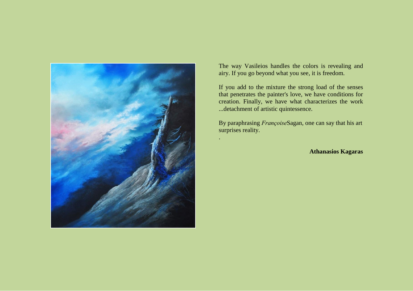

The way Vasileios handles the colors is revealing and airy. If you go beyond what you see, it is freedom.

If you add to the mixture the strong load of the senses that penetrates the painter's love, we have conditions for creation. Finally, we have what characterizes the work ...detachment of artistic quintessence.

By paraphrasing *Françoise*Sagan, one can say that his art surprises reality.

.

**Athanasios Kagaras**